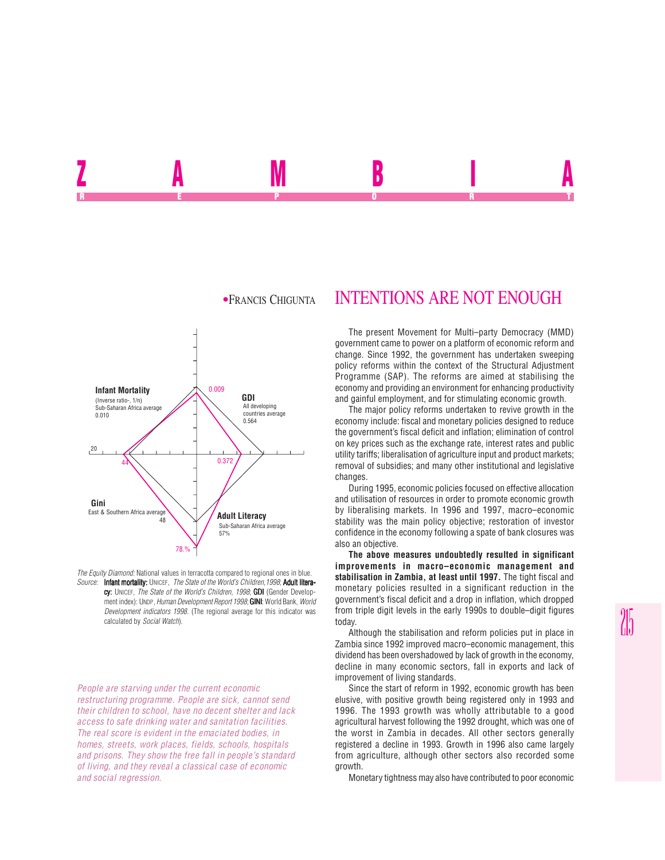

*The Equity Diamond:* National values in terracotta compared to regional ones in blue. *Source:* Infant mortality: UNICEF, *The State of the World's Children,1998*; Adult literacy: UNICEF, *The State of the World's Children, 1998*; GDI (Gender Development index): UNDP, *Human Development Report 1998*; **GINI**: World Bank, *World Development indicators 1998*. (The regional average for this indicator was calculated by *Social Watch*).

*People are starving under the current economic restructuring programme. People are sick, cannot send their children to school, have no decent shelter and lack access to safe drinking water and sanitation facilities. The real score is evident in the emaciated bodies, in homes, streets, work places, fields, schools, hospitals and prisons. They show the free fall in people's standard of living, and they reveal a classical case of economic and social regression.*

# **• FRANCIS CHIGUNTA INTENTIONS ARE NOT ENOUGH**

Z A IVI D I A REPORT OF STATE REPORT OF STATE REPORT OF STATE REPORT OF STATE REPORT OF STATE REPORT OF STATE REPORT OF STATE REPORT OF STATE REPORT OF STATE REPORT OF STATE REPORT OF STATE REPORT OF STATE REPORT OF STATE REPORT OF STAT

> The present Movement for Multi–party Democracy (MMD) government came to power on a platform of economic reform and change. Since 1992, the government has undertaken sweeping policy reforms within the context of the Structural Adjustment Programme (SAP). The reforms are aimed at stabilising the economy and providing an environment for enhancing productivity and gainful employment, and for stimulating economic growth.

> The major policy reforms undertaken to revive growth in the economy include: fiscal and monetary policies designed to reduce the government's fiscal deficit and inflation; elimination of control on key prices such as the exchange rate, interest rates and public utility tariffs; liberalisation of agriculture input and product markets; removal of subsidies; and many other institutional and legislative changes.

> During 1995, economic policies focused on effective allocation and utilisation of resources in order to promote economic growth by liberalising markets. In 1996 and 1997, macro–economic stability was the main policy objective; restoration of investor confidence in the economy following a spate of bank closures was also an objective.

> **The above measures undoubtedly resulted in significant improvements in macro–economic management and stabilisation in Zambia, at least until 1997.** The tight fiscal and monetary policies resulted in a significant reduction in the government's fiscal deficit and a drop in inflation, which dropped from triple digit levels in the early 1990s to double–digit figures today.

> Although the stabilisation and reform policies put in place in Zambia since 1992 improved macro–economic management, this dividend has been overshadowed by lack of growth in the economy, decline in many economic sectors, fall in exports and lack of improvement of living standards.

> Since the start of reform in 1992, economic growth has been elusive, with positive growth being registered only in 1993 and 1996. The 1993 growth was wholly attributable to a good agricultural harvest following the 1992 drought, which was one of the worst in Zambia in decades. All other sectors generally registered a decline in 1993. Growth in 1996 also came largely from agriculture, although other sectors also recorded some growth.

Monetary tightness may also have contributed to poor economic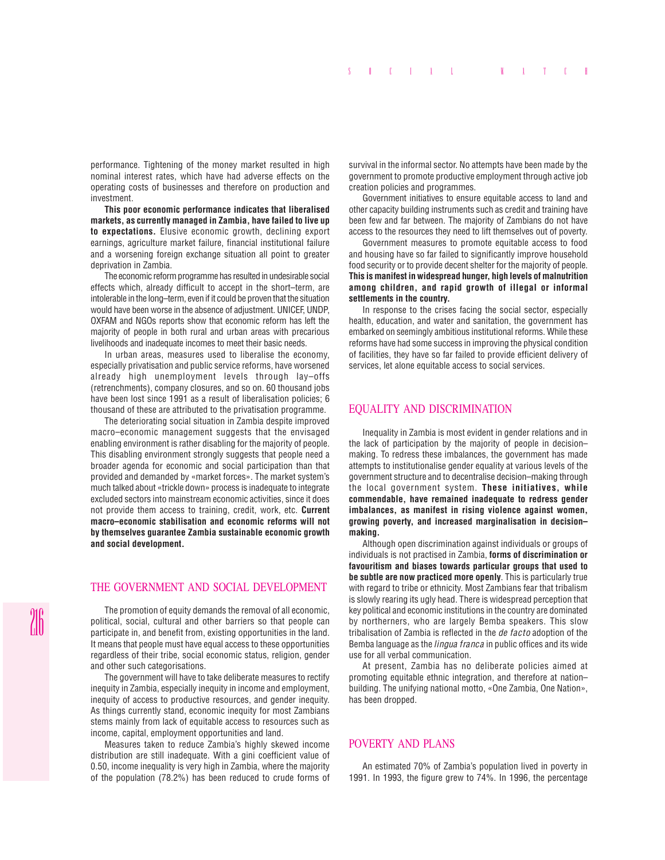performance. Tightening of the money market resulted in high nominal interest rates, which have had adverse effects on the operating costs of businesses and therefore on production and investment.

**This poor economic performance indicates that liberalised markets, as currently managed in Zambia, have failed to live up to expectations.** Elusive economic growth, declining export earnings, agriculture market failure, financial institutional failure and a worsening foreign exchange situation all point to greater deprivation in Zambia.

The economic reform programme has resulted in undesirable social effects which, already difficult to accept in the short–term, are intolerable in the long–term, even if it could be proven that the situation would have been worse in the absence of adjustment. UNICEF, UNDP, OXFAM and NGOs reports show that economic reform has left the majority of people in both rural and urban areas with precarious livelihoods and inadequate incomes to meet their basic needs.

In urban areas, measures used to liberalise the economy, especially privatisation and public service reforms, have worsened already high unemployment levels through lay–offs (retrenchments), company closures, and so on. 60 thousand jobs have been lost since 1991 as a result of liberalisation policies; 6 thousand of these are attributed to the privatisation programme.

The deteriorating social situation in Zambia despite improved macro–economic management suggests that the envisaged enabling environment is rather disabling for the majority of people. This disabling environment strongly suggests that people need a broader agenda for economic and social participation than that provided and demanded by «market forces». The market system's much talked about «trickle down» process is inadequate to integrate excluded sectors into mainstream economic activities, since it does not provide them access to training, credit, work, etc. **Current macro–economic stabilisation and economic reforms will not by themselves guarantee Zambia sustainable economic growth and social development.**

#### THE GOVERNMENT AND SOCIAL DEVELOPMENT

The promotion of equity demands the removal of all economic, political, social, cultural and other barriers so that people can participate in, and benefit from, existing opportunities in the land. It means that people must have equal access to these opportunities regardless of their tribe, social economic status, religion, gender and other such categorisations.

The government will have to take deliberate measures to rectify inequity in Zambia, especially inequity in income and employment, inequity of access to productive resources, and gender inequity. As things currently stand, economic inequity for most Zambians stems mainly from lack of equitable access to resources such as income, capital, employment opportunities and land.

Measures taken to reduce Zambia's highly skewed income distribution are still inadequate. With a gini coefficient value of 0.50, income inequality is very high in Zambia, where the majority of the population (78.2%) has been reduced to crude forms of

survival in the informal sector. No attempts have been made by the government to promote productive employment through active job creation policies and programmes.

Government initiatives to ensure equitable access to land and other capacity building instruments such as credit and training have been few and far between. The majority of Zambians do not have access to the resources they need to lift themselves out of poverty.

Government measures to promote equitable access to food and housing have so far failed to significantly improve household food security or to provide decent shelter for the majority of people. **This is manifest in widespread hunger, high levels of malnutrition among children, and rapid growth of illegal or informal settlements in the country.**

In response to the crises facing the social sector, especially health, education, and water and sanitation, the government has embarked on seemingly ambitious institutional reforms. While these reforms have had some success in improving the physical condition of facilities, they have so far failed to provide efficient delivery of services, let alone equitable access to social services.

#### EQUALITY AND DISCRIMINATION

Inequality in Zambia is most evident in gender relations and in the lack of participation by the majority of people in decision– making. To redress these imbalances, the government has made attempts to institutionalise gender equality at various levels of the government structure and to decentralise decision–making through the local government system. **These initiatives, while commendable, have remained inadequate to redress gender imbalances, as manifest in rising violence against women, growing poverty, and increased marginalisation in decision– making.**

Although open discrimination against individuals or groups of individuals is not practised in Zambia, **forms of discrimination or favouritism and biases towards particular groups that used to be subtle are now practiced more openly**. This is particularly true with regard to tribe or ethnicity. Most Zambians fear that tribalism is slowly rearing its ugly head. There is widespread perception that key political and economic institutions in the country are dominated by northerners, who are largely Bemba speakers. This slow tribalisation of Zambia is reflected in the *de facto* adoption of the Bemba language as the *lingua franca* in public offices and its wide use for all verbal communication.

At present, Zambia has no deliberate policies aimed at promoting equitable ethnic integration, and therefore at nation– building. The unifying national motto, «One Zambia, One Nation», has been dropped.

### POVERTY AND PLANS

An estimated 70% of Zambia's population lived in poverty in 1991. In 1993, the figure grew to 74%. In 1996, the percentage